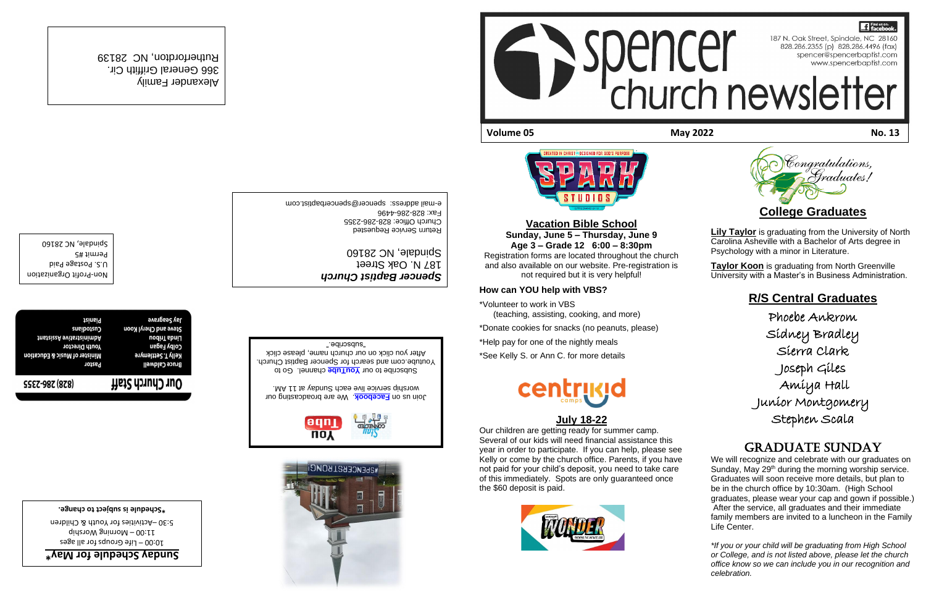**Vacation Bible School Sunday, June 5 – Thursday, June 9 Age 3 – Grade 12 6:00 – 8:30pm** Registration forms are located throughout the church and also available on our website. Pre-registration is not required but it is very helpful!

TII N I N

#### **How can YOU help with VBS?**

\*Volunteer to work in VBS (teaching, assisting, cooking, and more)

\*Donate cookies for snacks (no peanuts, please)

\*Help pay for one of the nightly meals

# **17** Find us on: 187 N. Oak Street, Spindale, NC 28160<br>828.286.2355 (p) 828.286.4496 (fax)<br>spencer@spencerbaptist.com www.spencerbaptist.com church newsletter

\*See Kelly S. or Ann C. for more details



# **July 18-22**

**Lily Taylor** is graduating from the University of North Carolina Asheville with a Bachelor of Arts degree in Psychology with a minor in Literature.

**Taylor Koon** is graduating from North Greenville University with a Master's in Business Administration.

Our children are getting ready for summer camp. Several of our kids will need financial assistance this year in order to participate. If you can help, please see Kelly or come by the church office. Parents, if you have not paid for your child's deposit, you need to take care of this immediately. Spots are only guaranteed once the \$60 deposit is paid.









U.S. Postage Paid Permit #5 Spindale, NC 28160

Steve and Cheryl Koon Custodians **tnsteizeA** svitsttainimbA Linda Tribou **Youth Director** Colby Fagan Minister of Music & Education Kelly T. Settlemyre Pastor **Bruce Caldwell** Our Church Staff **SSEZ-98Z (878)** 

> Life Groups for all ages – 10:00  $q$ ididang Worship

5:30 - Activities for Youth & Children

# **R/S Central Graduates**

. We are broadcasting our prosessing our . worship service live eac[h Sunday at](https://www.facebook.com/SpencerBaptistChurch/) 11 AM

Subscribe to our **YouTube** channel. Go to

Phoebe Ankrom Sidney Bradley Sierra Clark Joseph Giles Amiya Hall Junior Montgomery Stephen Scala

# Graduate Sunday

366 General Griffith Cir. Rutherfordton, NC 28139

**аустадгате tainsiq** 

We will recognize and celebrate with our graduates on Sunday, May 29<sup>th</sup> during the morning worship service. Graduates will soon receive more details, but plan to be in the church office by 10:30am. (High School graduates, please wear your cap and gown if possible.) After the service, all graduates and their immediate family members are invited to a luncheon in the Family Life Center.

*\*If you or your child will be graduating from High School or College, and is not listed above, please let the church office know so we can include you in our recognition and celebration.* 

Profit Organization - Non

# **Eunday Schedule for May**

*Spencer Baptist Church* 187 N. Oak Street

Church Office: 828-286-2355 Eax: 828-286-4496

Spindale, NC 28160 Return Service Requested

e-mail address: spencer@spencerbaptist.com

**Schedule is subject to change. \***

Youtube.com and search for Spencer Baptist Church.

After you click on our church name, please click

"subscribe."



**Volume 05 May 2022 No. 13**



Alexander Family